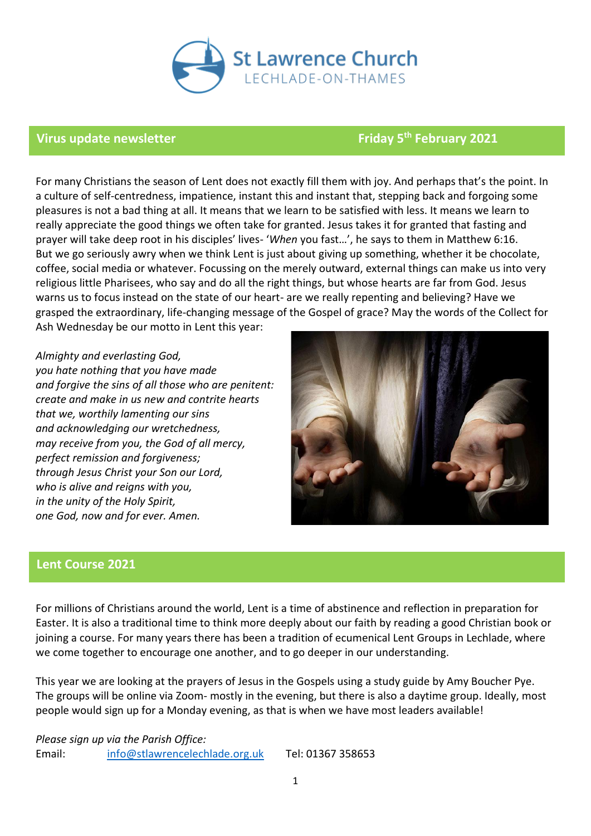

# **Virus update newsletter Friday 5th February 2021**

For many Christians the season of Lent does not exactly fill them with joy. And perhaps that's the point. In a culture of self-centredness, impatience, instant this and instant that, stepping back and forgoing some pleasures is not a bad thing at all. It means that we learn to be satisfied with less. It means we learn to really appreciate the good things we often take for granted. Jesus takes it for granted that fasting and prayer will take deep root in his disciples' lives- '*When* you fast…', he says to them in Matthew 6:16. But we go seriously awry when we think Lent is just about giving up something, whether it be chocolate, coffee, social media or whatever. Focussing on the merely outward, external things can make us into very religious little Pharisees, who say and do all the right things, but whose hearts are far from God. Jesus warns us to focus instead on the state of our heart- are we really repenting and believing? Have we grasped the extraordinary, life-changing message of the Gospel of grace? May the words of the Collect for Ash Wednesday be our motto in Lent this year:

*Almighty and everlasting God, you hate nothing that you have made and forgive the sins of all those who are penitent: create and make in us new and contrite hearts that we, worthily lamenting our sins and acknowledging our wretchedness, may receive from you, the God of all mercy, perfect remission and forgiveness; through Jesus Christ your Son our Lord, who is alive and reigns with you, in the unity of the Holy Spirit, one God, now and for ever. Amen.* 



# **Lent Course 2021**

For millions of Christians around the world, Lent is a time of abstinence and reflection in preparation for Easter. It is also a traditional time to think more deeply about our faith by reading a good Christian book or joining a course. For many years there has been a tradition of ecumenical Lent Groups in Lechlade, where we come together to encourage one another, and to go deeper in our understanding.

This year we are looking at the prayers of Jesus in the Gospels using a study guide by Amy Boucher Pye. The groups will be online via Zoom- mostly in the evening, but there is also a daytime group. Ideally, most people would sign up for a Monday evening, as that is when we have most leaders available!

*Please sign up via the Parish Office:* Email: [info@stlawrencelechlade.org.uk](mailto:info@stlawrencelechlade.org.uk) Tel: 01367 358653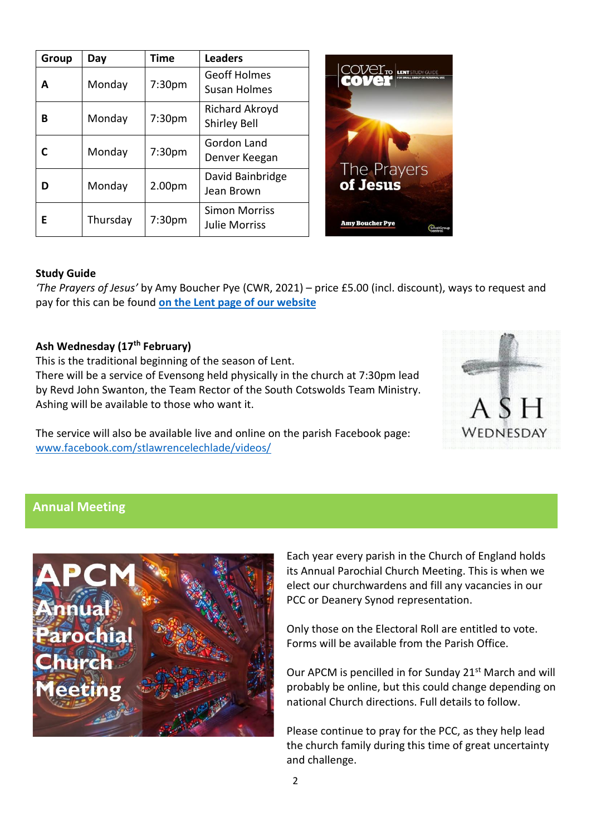| Group | Day      | <b>Time</b> | <b>Leaders</b>                               |                                          |
|-------|----------|-------------|----------------------------------------------|------------------------------------------|
| A     | Monday   | 7:30pm      | <b>Geoff Holmes</b><br>Susan Holmes          | <b>COVELTO LENT</b> STUDY GUIDE<br>cover |
| В     | Monday   | 7:30pm      | Richard Akroyd<br><b>Shirley Bell</b>        |                                          |
|       | Monday   | 7:30pm      | Gordon Land<br>Denver Keegan                 |                                          |
| D     | Monday   | 2.00pm      | David Bainbridge<br>Jean Brown               | The Prayers<br>of Jesus                  |
| Е     | Thursday | 7:30pm      | <b>Simon Morriss</b><br><b>Julie Morriss</b> | <b>Amy Boucher Pye</b><br>Small          |

# **Study Guide**

*'The Prayers of Jesus'* by Amy Boucher Pye (CWR, 2021) – price £5.00 (incl. discount), ways to request and pay for this can be found **on [the Lent page of our website](https://www.stlawrencelechlade.org.uk/whats-on/regular-groups/lent-groups/)**

## **Ash Wednesday (17th February)**

This is the traditional beginning of the season of Lent. There will be a service of Evensong held physically in the church at 7:30pm lead by Revd John Swanton, the Team Rector of the South Cotswolds Team Ministry. Ashing will be available to those who want it.

The service will also be available live and online on the parish Facebook page: [www.facebook.com/stlawrencelechlade/videos/](http://www.facebook.com/stlawrencelechlade/videos/)



# **Annual Meeting**



Each year every parish in the Church of England holds its Annual Parochial Church Meeting. This is when we elect our churchwardens and fill any vacancies in our PCC or Deanery Synod representation.

Only those on the Electoral Roll are entitled to vote. Forms will be available from the Parish Office.

Our APCM is pencilled in for Sunday 21<sup>st</sup> March and will probably be online, but this could change depending on national Church directions. Full details to follow.

Please continue to pray for the PCC, as they help lead the church family during this time of great uncertainty and challenge.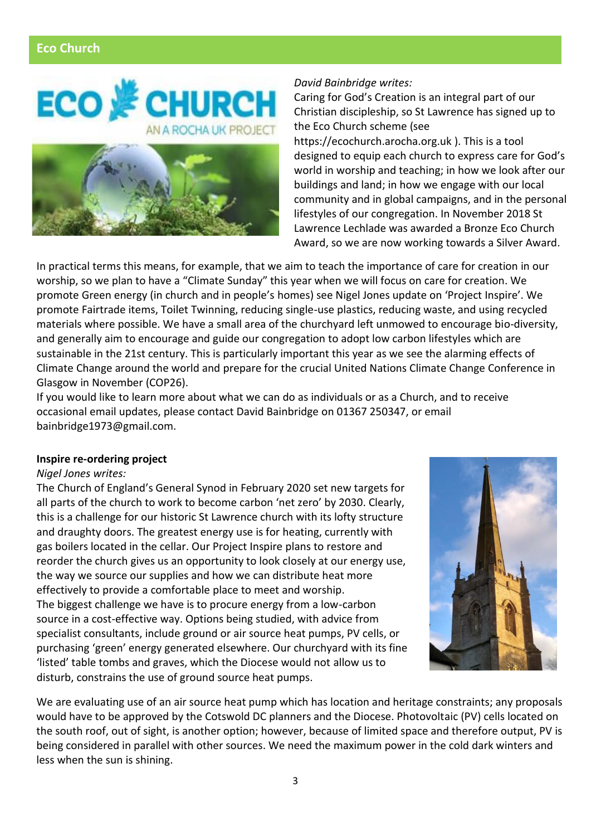# **Eco Church**





#### *David Bainbridge writes:*

Caring for God's Creation is an integral part of our Christian discipleship, so St Lawrence has signed up to the Eco Church scheme (see

https://ecochurch.arocha.org.uk ). This is a tool designed to equip each church to express care for God's world in worship and teaching; in how we look after our buildings and land; in how we engage with our local community and in global campaigns, and in the personal lifestyles of our congregation. In November 2018 St Lawrence Lechlade was awarded a Bronze Eco Church Award, so we are now working towards a Silver Award.

In practical terms this means, for example, that we aim to teach the importance of care for creation in our worship, so we plan to have a "Climate Sunday" this year when we will focus on care for creation. We promote Green energy (in church and in people's homes) see Nigel Jones update on 'Project Inspire'. We promote Fairtrade items, Toilet Twinning, reducing single-use plastics, reducing waste, and using recycled materials where possible. We have a small area of the churchyard left unmowed to encourage bio-diversity, and generally aim to encourage and guide our congregation to adopt low carbon lifestyles which are sustainable in the 21st century. This is particularly important this year as we see the alarming effects of Climate Change around the world and prepare for the crucial United Nations Climate Change Conference in Glasgow in November (COP26).

If you would like to learn more about what we can do as individuals or as a Church, and to receive occasional email updates, please contact David Bainbridge on 01367 250347, or email bainbridge1973@gmail.com.

### **Inspire re-ordering project**

#### *Nigel Jones writes:*

The Church of England's General Synod in February 2020 set new targets for all parts of the church to work to become carbon 'net zero' by 2030. Clearly, this is a challenge for our historic St Lawrence church with its lofty structure and draughty doors. The greatest energy use is for heating, currently with gas boilers located in the cellar. Our Project Inspire plans to restore and reorder the church gives us an opportunity to look closely at our energy use, the way we source our supplies and how we can distribute heat more effectively to provide a comfortable place to meet and worship. The biggest challenge we have is to procure energy from a low-carbon source in a cost-effective way. Options being studied, with advice from specialist consultants, include ground or air source heat pumps, PV cells, or purchasing 'green' energy generated elsewhere. Our churchyard with its fine 'listed' table tombs and graves, which the Diocese would not allow us to disturb, constrains the use of ground source heat pumps.



We are evaluating use of an air source heat pump which has location and heritage constraints; any proposals would have to be approved by the Cotswold DC planners and the Diocese. Photovoltaic (PV) cells located on the south roof, out of sight, is another option; however, because of limited space and therefore output, PV is being considered in parallel with other sources. We need the maximum power in the cold dark winters and less when the sun is shining.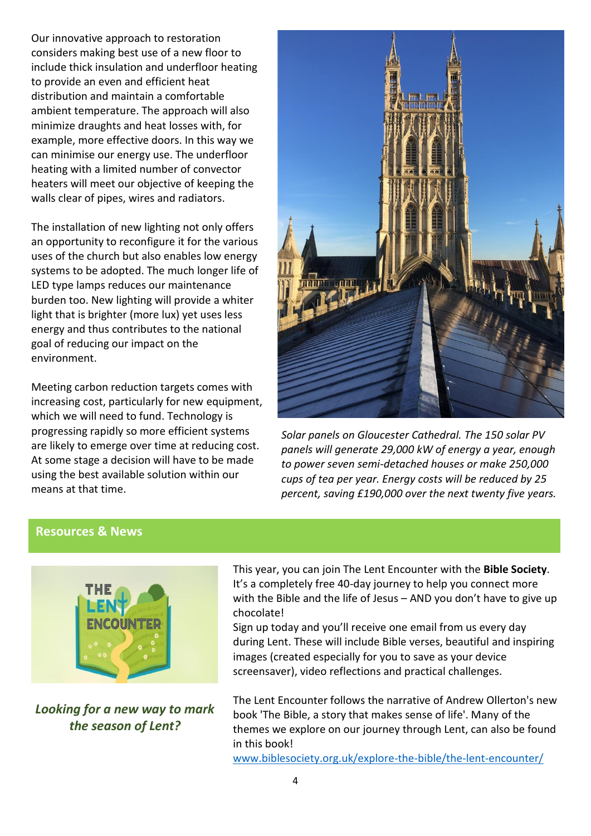considers making best use of a new floor to include thick insulation and underfloor heating to provide an even and efficient heat distribution and maintain a comfortable ambient temperature. The upproder will also<br>minimize draughts and heat losses with, for minimize arangme and near receed man, ref.<br>example, more effective doors. In this way we can minimise our energy use. The underfloor heating with a limited number of convector heaters will meet our objective of keeping the walls clear of pipes, wires and radiators. Our innovative approach to restoration ambient temperature. The approach will also

The installation of new lighting not only offers **To spur us on and, more importantly,**  uses of the church but also enables low energy systems to be adopted. The much longer life of **LED type lamps reduces our maintenance you act too.** New iighting will provide **for some, it** *really* **will be an**  energy and thus contributes to the national **effort!). Support them at:** goal of reducing our impact on the environment. an opportunity to reconfigure it for the various burden too. New lighting will provide a whiter light that is brighter (more lux) yet uses less

[95-Challenge](http://www.justgiving.com/campaign/The-95-Challenge) Meeting carbon reduction targets comes with increasing cost, particularly for new equipment, which we will need to fund. Technology is progressing rapidly so more efficient systems are likely to emerge over time at reducing cost. At some stage a decision will have to be made using the best available solution within our means at that time.



*Solar panels on Gloucester Cathedral. The 150 solar PV panels will generate 29,000 kW of energy a year, enough to power seven semi-detached houses or make 250,000 cups of tea per year. Energy costs will be reduced by 25 percent, saving £190,000 over the next twenty five years.*

# **Resources & News**



*Looking for a new way to mark the season of Lent?*

This year, you can join The Lent Encounter with the **Bible Society**. It's a completely free 40-day journey to help you connect more with the Bible and the life of Jesus – AND you don't have to give up chocolate!

Sign up today and you'll receive one email from us every day during Lent. These will include Bible verses, beautiful and inspiring images (created especially for you to save as your device screensaver), video reflections and practical challenges.

The Lent Encounter follows the narrative of Andrew Ollerton's new book 'The Bible, a story that makes sense of life'. Many of the themes we explore on our journey through Lent, can also be found in this book!

[www.biblesociety.org.uk/explore-the-bible/the-lent-encounter/](http://www.biblesociety.org.uk/explore-the-bible/the-lent-encounter/)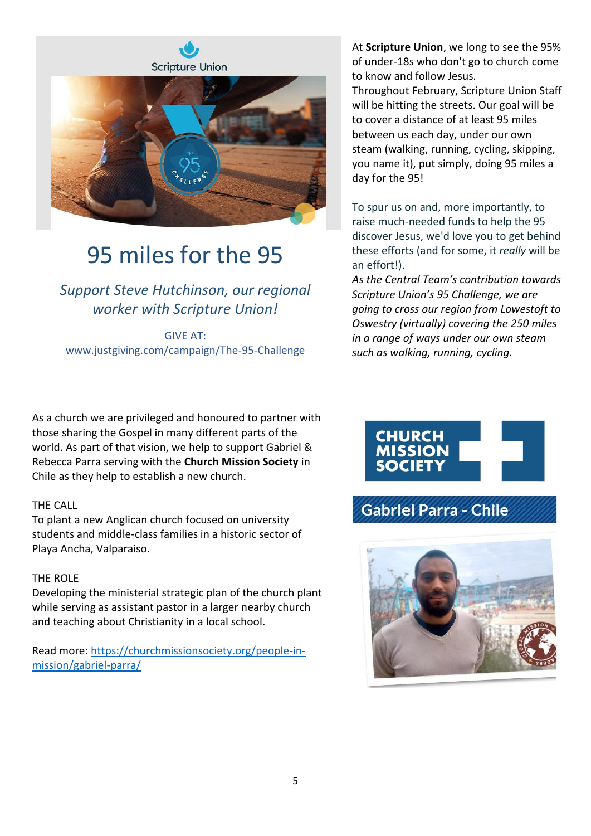

# 95 miles for the 95

*Support Steve Hutchinson, our regional worker with Scripture Union!*

GIVE AT: www.justgiving.com/campaign/The-95-Challenge

As a church we are privileged and honoured to partner with those sharing the Gospel in many different parts of the world. As part of that vision, we help to support Gabriel & Rebecca Parra serving with the **Church Mission Society** in Chile as they help to establish a new church.

# THE CALL

To plant a new Anglican church focused on university students and middle-class families in a historic sector of Playa Ancha, Valparaiso.

# THE ROLE

Developing the ministerial strategic plan of the church plant while serving as assistant pastor in a larger nearby church and teaching about Christianity in a local school.

Read more: [https://churchmissionsociety.org/people-in](https://churchmissionsociety.org/people-in-mission/gabriel-parra/)[mission/gabriel-parra/](https://churchmissionsociety.org/people-in-mission/gabriel-parra/)

At **Scripture Union**, we long to see the 95% of under-18s who don't go to church come to know and follow Jesus.

Throughout February, Scripture Union Staff will be hitting the streets. Our goal will be to cover a distance of at least 95 miles between us each day, under our own steam (walking, running, cycling, skipping, you name it), put simply, doing 95 miles a day for the 95!

To spur us on and, more importantly, to raise much-needed funds to help the 95 discover Jesus, we'd love you to get behind these efforts (and for some, it *really* will be an effort!).

*As the Central Team's contribution towards Scripture Union's 95 Challenge, we are going to cross our region from Lowestoft to Oswestry (virtually) covering the 250 miles in a range of ways under our own steam such as walking, running, cycling.*